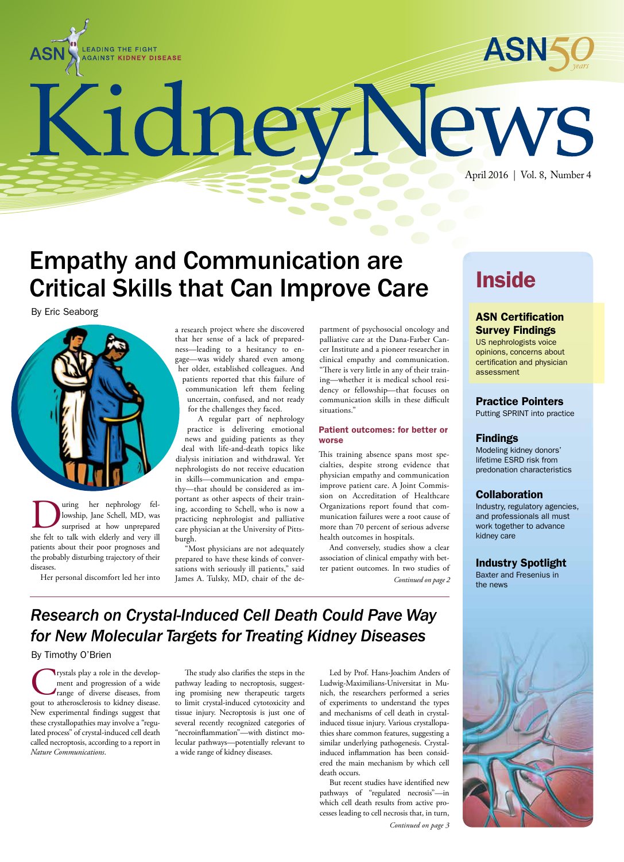



KidneyNew April 2016 | Vol. 8, Number 4

# Empathy and Communication are Critical Skills that Can Improve Care

By Eric Seaborg



uring her nephrology fellowship, Jane Schell, MD, was surprised at how unprepared she felt to talk with elderly and very ill patients about their poor prognoses and the probably disturbing trajectory of their diseases.

Her personal discomfort led her into

a research project where she discovered that her sense of a lack of preparedness—leading to a hesitancy to engage—was widely shared even among her older, established colleagues. And patients reported that this failure of communication left them feeling uncertain, confused, and not ready for the challenges they faced.

A regular part of nephrology practice is delivering emotional news and guiding patients as they deal with life-and-death topics like dialysis initiation and withdrawal. Yet nephrologists do not receive education in skills—communication and empathy—that should be considered as important as other aspects of their training, according to Schell, who is now a practicing nephrologist and palliative care physician at the University of Pittsburgh.

"Most physicians are not adequately prepared to have these kinds of conversations with seriously ill patients," said James A. Tulsky, MD, chair of the de-

partment of psychosocial oncology and palliative care at the Dana-Farber Cancer Institute and a pioneer researcher in clinical empathy and communication. "There is very little in any of their training—whether it is medical school residency or fellowship—that focuses on communication skills in these difficult situations."

#### Patient outcomes: for better or worse

This training absence spans most specialties, despite strong evidence that physician empathy and communication improve patient care. A Joint Commission on Accreditation of Healthcare Organizations report found that communication failures were a root cause of more than 70 percent of serious adverse health outcomes in hospitals.

And conversely, studies show a clear association of clinical empathy with better patient outcomes. In two studies of *Continued on page 2*

## **Inside**

#### ASN Certification Survey Findings

US nephrologists voice opinions, concerns about certification and physician assessment

#### Practice Pointers

Putting SPRINT into practice

#### Findings

Modeling kidney donors' lifetime ESRD risk from predonation characteristics

#### **Collaboration**

Industry, regulatory agencies, and professionals all must work together to advance kidney care

#### Industry Spotlight

Baxter and Fresenius in the news

### *Research on Crystal-Induced Cell Death Could Pave Way for New Molecular Targets for Treating Kidney Diseases*

By Timothy O'Brien

rystals play a role in the development and progression of a wide range of diverse diseases, from gout to atherosclerosis to kidney disease. New experimental findings suggest that these crystallopathies may involve a "regulated process" of crystal-induced cell death called necroptosis, according to a report in *Nature Communications*.

The study also clarifies the steps in the pathway leading to necroptosis, suggesting promising new therapeutic targets to limit crystal-induced cytotoxicity and tissue injury. Necroptosis is just one of several recently recognized categories of "necroinflammation"—with distinct molecular pathways—potentially relevant to a wide range of kidney diseases.

Led by Prof. Hans-Joachim Anders of Ludwig-Maximilians-Universitat in Munich, the researchers performed a series of experiments to understand the types and mechanisms of cell death in crystalinduced tissue injury. Various crystallopathies share common features, suggesting a similar underlying pathogenesis. Crystalinduced inflammation has been considered the main mechanism by which cell death occurs.

But recent studies have identified new pathways of "regulated necrosis"—in which cell death results from active processes leading to cell necrosis that, in turn,

*Continued on page 3*